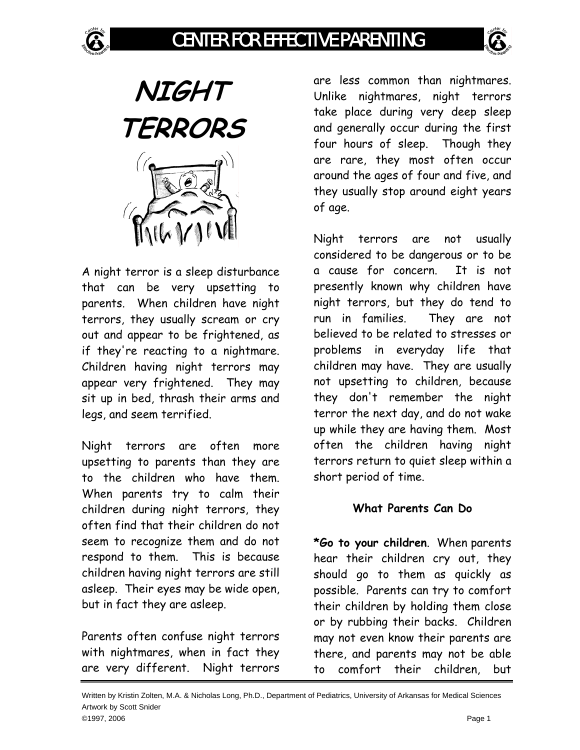





A night terror is a sleep disturbance that can be very upsetting to parents. When children have night terrors, they usually scream or cry out and appear to be frightened, as if they're reacting to a nightmare. Children having night terrors may appear very frightened. They may sit up in bed, thrash their arms and legs, and seem terrified.

Night terrors are often more upsetting to parents than they are to the children who have them. When parents try to calm their children during night terrors, they often find that their children do not seem to recognize them and do not respond to them. This is because children having night terrors are still asleep. Their eyes may be wide open, but in fact they are asleep.

Parents often confuse night terrors with nightmares, when in fact they are very different. Night terrors

are less common than nightmares. Unlike nightmares, night terrors take place during very deep sleep and generally occur during the first four hours of sleep. Though they are rare, they most often occur around the ages of four and five, and they usually stop around eight years of age.

Night terrors are not usually considered to be dangerous or to be a cause for concern. It is not presently known why children have night terrors, but they do tend to run in families. They are not believed to be related to stresses or problems in everyday life that children may have. They are usually not upsetting to children, because they don't remember the night terror the next day, and do not wake up while they are having them. Most often the children having night terrors return to quiet sleep within a short period of time.

## **What Parents Can Do**

**\*Go to your children**. When parents hear their children cry out, they should go to them as quickly as possible. Parents can try to comfort their children by holding them close or by rubbing their backs. Children may not even know their parents are there, and parents may not be able to comfort their children, but